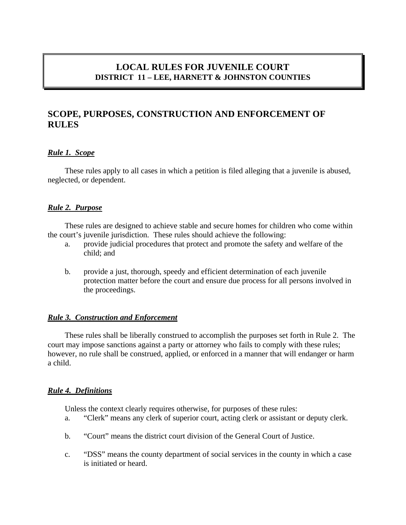# **LOCAL RULES FOR JUVENILE COURT DISTRICT 11 – LEE, HARNETT & JOHNSTON COUNTIES**

# **SCOPE, PURPOSES, CONSTRUCTION AND ENFORCEMENT OF RULES**

## *Rule 1. Scope*

These rules apply to all cases in which a petition is filed alleging that a juvenile is abused, neglected, or dependent.

## *Rule 2. Purpose*

These rules are designed to achieve stable and secure homes for children who come within the court's juvenile jurisdiction. These rules should achieve the following:

- a. provide judicial procedures that protect and promote the safety and welfare of the child; and
- b. provide a just, thorough, speedy and efficient determination of each juvenile protection matter before the court and ensure due process for all persons involved in the proceedings.

### *Rule 3. Construction and Enforcement*

These rules shall be liberally construed to accomplish the purposes set forth in Rule 2. The court may impose sanctions against a party or attorney who fails to comply with these rules; however, no rule shall be construed, applied, or enforced in a manner that will endanger or harm a child.

### *Rule 4. Definitions*

Unless the context clearly requires otherwise, for purposes of these rules:

- a. "Clerk" means any clerk of superior court, acting clerk or assistant or deputy clerk.
- b. "Court" means the district court division of the General Court of Justice.
- c. "DSS" means the county department of social services in the county in which a case is initiated or heard.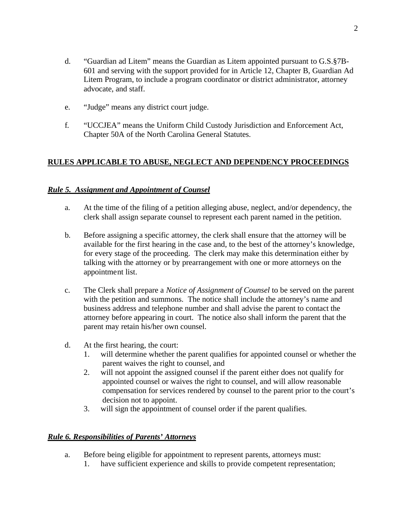- d. "Guardian ad Litem" means the Guardian as Litem appointed pursuant to G.S.§7B-601 and serving with the support provided for in Article 12, Chapter B, Guardian Ad Litem Program, to include a program coordinator or district administrator, attorney advocate, and staff.
- e. "Judge" means any district court judge.
- f. "UCCJEA" means the Uniform Child Custody Jurisdiction and Enforcement Act, Chapter 50A of the North Carolina General Statutes.

## **RULES APPLICABLE TO ABUSE, NEGLECT AND DEPENDENCY PROCEEDINGS**

### *Rule 5. Assignment and Appointment of Counsel*

- a. At the time of the filing of a petition alleging abuse, neglect, and/or dependency, the clerk shall assign separate counsel to represent each parent named in the petition.
- b. Before assigning a specific attorney, the clerk shall ensure that the attorney will be available for the first hearing in the case and, to the best of the attorney's knowledge, for every stage of the proceeding. The clerk may make this determination either by talking with the attorney or by prearrangement with one or more attorneys on the appointment list.
- c. The Clerk shall prepare a *Notice of Assignment of Counsel* to be served on the parent with the petition and summons. The notice shall include the attorney's name and business address and telephone number and shall advise the parent to contact the attorney before appearing in court. The notice also shall inform the parent that the parent may retain his/her own counsel.
- d. At the first hearing, the court:
	- 1. will determine whether the parent qualifies for appointed counsel or whether the parent waives the right to counsel, and
	- 2. will not appoint the assigned counsel if the parent either does not qualify for appointed counsel or waives the right to counsel, and will allow reasonable compensation for services rendered by counsel to the parent prior to the court's decision not to appoint.
	- 3. will sign the appointment of counsel order if the parent qualifies.

### *Rule 6. Responsibilities of Parents' Attorneys*

- a. Before being eligible for appointment to represent parents, attorneys must:
	- 1. have sufficient experience and skills to provide competent representation;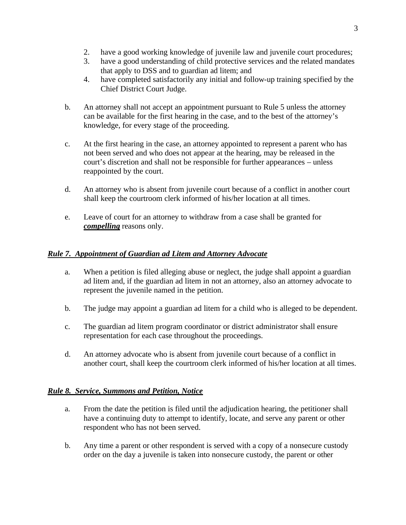- 2. have a good working knowledge of juvenile law and juvenile court procedures;
- 3. have a good understanding of child protective services and the related mandates that apply to DSS and to guardian ad litem; and
- 4. have completed satisfactorily any initial and follow-up training specified by the Chief District Court Judge.
- b. An attorney shall not accept an appointment pursuant to Rule 5 unless the attorney can be available for the first hearing in the case, and to the best of the attorney's knowledge, for every stage of the proceeding.
- c. At the first hearing in the case, an attorney appointed to represent a parent who has not been served and who does not appear at the hearing, may be released in the court's discretion and shall not be responsible for further appearances – unless reappointed by the court.
- d. An attorney who is absent from juvenile court because of a conflict in another court shall keep the courtroom clerk informed of his/her location at all times.
- e. Leave of court for an attorney to withdraw from a case shall be granted for *compelling* reasons only.

# *Rule 7. Appointment of Guardian ad Litem and Attorney Advocate*

- a. When a petition is filed alleging abuse or neglect, the judge shall appoint a guardian ad litem and, if the guardian ad litem in not an attorney, also an attorney advocate to represent the juvenile named in the petition.
- b. The judge may appoint a guardian ad litem for a child who is alleged to be dependent.
- c. The guardian ad litem program coordinator or district administrator shall ensure representation for each case throughout the proceedings.
- d. An attorney advocate who is absent from juvenile court because of a conflict in another court, shall keep the courtroom clerk informed of his/her location at all times.

# *Rule 8. Service, Summons and Petition, Notice*

- a. From the date the petition is filed until the adjudication hearing, the petitioner shall have a continuing duty to attempt to identify, locate, and serve any parent or other respondent who has not been served.
- b. Any time a parent or other respondent is served with a copy of a nonsecure custody order on the day a juvenile is taken into nonsecure custody, the parent or other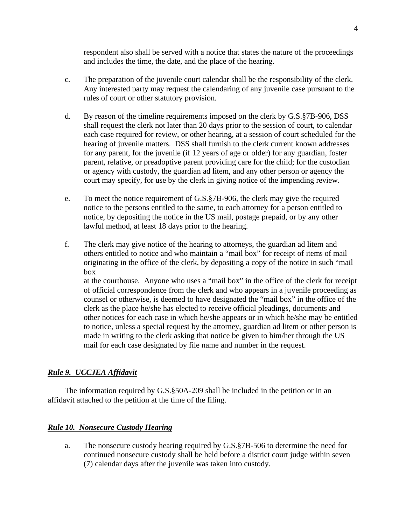respondent also shall be served with a notice that states the nature of the proceedings and includes the time, the date, and the place of the hearing.

- c. The preparation of the juvenile court calendar shall be the responsibility of the clerk. Any interested party may request the calendaring of any juvenile case pursuant to the rules of court or other statutory provision.
- d. By reason of the timeline requirements imposed on the clerk by G.S.§7B-906, DSS shall request the clerk not later than 20 days prior to the session of court, to calendar each case required for review, or other hearing, at a session of court scheduled for the hearing of juvenile matters. DSS shall furnish to the clerk current known addresses for any parent, for the juvenile (if 12 years of age or older) for any guardian, foster parent, relative, or preadoptive parent providing care for the child; for the custodian or agency with custody, the guardian ad litem, and any other person or agency the court may specify, for use by the clerk in giving notice of the impending review.
- e. To meet the notice requirement of G.S.§7B-906, the clerk may give the required notice to the persons entitled to the same, to each attorney for a person entitled to notice, by depositing the notice in the US mail, postage prepaid, or by any other lawful method, at least 18 days prior to the hearing.
- f. The clerk may give notice of the hearing to attorneys, the guardian ad litem and others entitled to notice and who maintain a "mail box" for receipt of items of mail originating in the office of the clerk, by depositing a copy of the notice in such "mail box at the courthouse. Anyone who uses a "mail box" in the office of the clerk for receipt of official correspondence from the clerk and who appears in a juvenile proceeding as counsel or otherwise, is deemed to have designated the "mail box" in the office of the clerk as the place he/she has elected to receive official pleadings, documents and other notices for each case in which he/she appears or in which he/she may be entitled to notice, unless a special request by the attorney, guardian ad litem or other person is made in writing to the clerk asking that notice be given to him/her through the US mail for each case designated by file name and number in the request.

## *Rule 9. UCCJEA Affidavit*

The information required by G.S.§50A-209 shall be included in the petition or in an affidavit attached to the petition at the time of the filing.

## *Rule 10. Nonsecure Custody Hearing*

a. The nonsecure custody hearing required by G.S.§7B-506 to determine the need for continued nonsecure custody shall be held before a district court judge within seven (7) calendar days after the juvenile was taken into custody.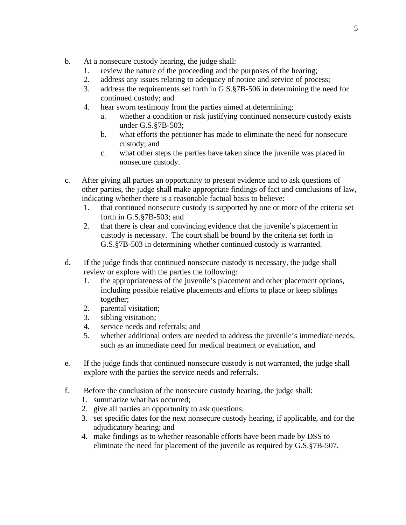- b. At a nonsecure custody hearing, the judge shall:
	- 1. review the nature of the proceeding and the purposes of the hearing;
	- 2. address any issues relating to adequacy of notice and service of process;
	- 3. address the requirements set forth in G.S.§7B-506 in determining the need for continued custody; and
	- 4. hear sworn testimony from the parties aimed at determining;
		- a. whether a condition or risk justifying continued nonsecure custody exists under G.S.§7B-503;
		- b. what efforts the petitioner has made to eliminate the need for nonsecure custody; and
		- c. what other steps the parties have taken since the juvenile was placed in nonsecure custody.
- c. After giving all parties an opportunity to present evidence and to ask questions of other parties, the judge shall make appropriate findings of fact and conclusions of law, indicating whether there is a reasonable factual basis to believe:
	- 1. that continued nonsecure custody is supported by one or more of the criteria set forth in G.S.§7B-503; and
	- 2. that there is clear and convincing evidence that the juvenile's placement in custody is necessary. The court shall be bound by the criteria set forth in G.S.§7B-503 in determining whether continued custody is warranted.
- d. If the judge finds that continued nonsecure custody is necessary, the judge shall review or explore with the parties the following:
	- 1. the appropriateness of the juvenile's placement and other placement options, including possible relative placements and efforts to place or keep siblings together;
	- 2. parental visitation;
	- 3. sibling visitation;
	- 4. service needs and referrals; and
	- 5. whether additional orders are needed to address the juvenile's immediate needs, such as an immediate need for medical treatment or evaluation, and
- e. If the judge finds that continued nonsecure custody is not warranted, the judge shall explore with the parties the service needs and referrals.
- f. Before the conclusion of the nonsecure custody hearing, the judge shall:
	- 1. summarize what has occurred;
	- 2. give all parties an opportunity to ask questions;
	- 3. set specific dates for the next nonsecure custody hearing, if applicable, and for the adjudicatory hearing; and
	- 4. make findings as to whether reasonable efforts have been made by DSS to eliminate the need for placement of the juvenile as required by G.S.§7B-507.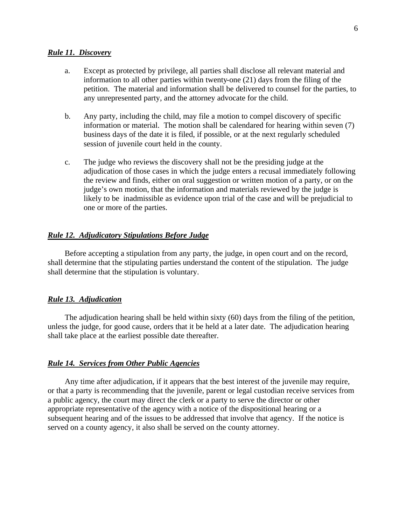#### *Rule 11. Discovery*

- a. Except as protected by privilege, all parties shall disclose all relevant material and information to all other parties within twenty-one (21) days from the filing of the petition. The material and information shall be delivered to counsel for the parties, to any unrepresented party, and the attorney advocate for the child.
- b. Any party, including the child, may file a motion to compel discovery of specific information or material. The motion shall be calendared for hearing within seven (7) business days of the date it is filed, if possible, or at the next regularly scheduled session of juvenile court held in the county.
- c. The judge who reviews the discovery shall not be the presiding judge at the adjudication of those cases in which the judge enters a recusal immediately following the review and finds, either on oral suggestion or written motion of a party, or on the judge's own motion, that the information and materials reviewed by the judge is likely to be inadmissible as evidence upon trial of the case and will be prejudicial to one or more of the parties.

#### *Rule 12. Adjudicatory Stipulations Before Judge*

Before accepting a stipulation from any party, the judge, in open court and on the record, shall determine that the stipulating parties understand the content of the stipulation. The judge shall determine that the stipulation is voluntary.

#### *Rule 13. Adjudication*

The adjudication hearing shall be held within sixty (60) days from the filing of the petition, unless the judge, for good cause, orders that it be held at a later date. The adjudication hearing shall take place at the earliest possible date thereafter.

#### *Rule 14. Services from Other Public Agencies*

Any time after adjudication, if it appears that the best interest of the juvenile may require, or that a party is recommending that the juvenile, parent or legal custodian receive services from a public agency, the court may direct the clerk or a party to serve the director or other appropriate representative of the agency with a notice of the dispositional hearing or a subsequent hearing and of the issues to be addressed that involve that agency. If the notice is served on a county agency, it also shall be served on the county attorney.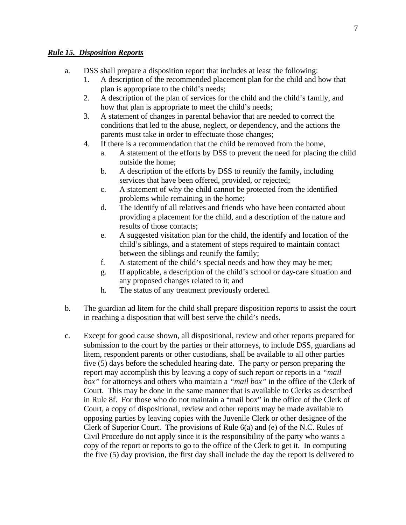## *Rule 15. Disposition Reports*

- a. DSS shall prepare a disposition report that includes at least the following:
	- 1. A description of the recommended placement plan for the child and how that plan is appropriate to the child's needs;
	- 2. A description of the plan of services for the child and the child's family, and how that plan is appropriate to meet the child's needs;
	- 3. A statement of changes in parental behavior that are needed to correct the conditions that led to the abuse, neglect, or dependency, and the actions the parents must take in order to effectuate those changes;
	- 4. If there is a recommendation that the child be removed from the home,
		- a. A statement of the efforts by DSS to prevent the need for placing the child outside the home;
		- b. A description of the efforts by DSS to reunify the family, including services that have been offered, provided, or rejected;
		- c. A statement of why the child cannot be protected from the identified problems while remaining in the home;
		- d. The identify of all relatives and friends who have been contacted about providing a placement for the child, and a description of the nature and results of those contacts;
		- e. A suggested visitation plan for the child, the identify and location of the child's siblings, and a statement of steps required to maintain contact between the siblings and reunify the family;
		- f. A statement of the child's special needs and how they may be met;
		- g. If applicable, a description of the child's school or day-care situation and any proposed changes related to it; and
		- h. The status of any treatment previously ordered.
- b. The guardian ad litem for the child shall prepare disposition reports to assist the court in reaching a disposition that will best serve the child's needs.
- c. Except for good cause shown, all dispositional, review and other reports prepared for submission to the court by the parties or their attorneys, to include DSS, guardians ad litem, respondent parents or other custodians, shall be available to all other parties five (5) days before the scheduled hearing date. The party or person preparing the report may accomplish this by leaving a copy of such report or reports in a *"mail box"* for attorneys and others who maintain a *"mail box"* in the office of the Clerk of Court. This may be done in the same manner that is available to Clerks as described in Rule 8f. For those who do not maintain a "mail box" in the office of the Clerk of Court, a copy of dispositional, review and other reports may be made available to opposing parties by leaving copies with the Juvenile Clerk or other designee of the Clerk of Superior Court. The provisions of Rule 6(a) and (e) of the N.C. Rules of Civil Procedure do not apply since it is the responsibility of the party who wants a copy of the report or reports to go to the office of the Clerk to get it. In computing the five (5) day provision, the first day shall include the day the report is delivered to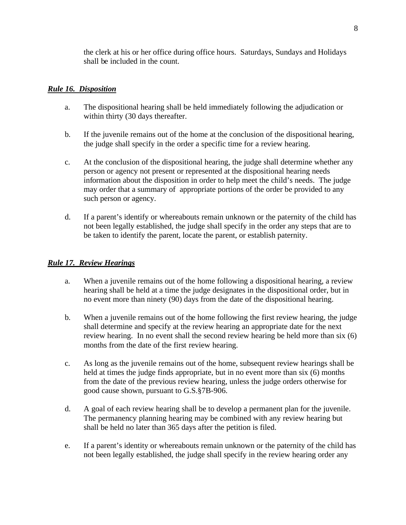the clerk at his or her office during office hours. Saturdays, Sundays and Holidays shall be included in the count.

## *Rule 16. Disposition*

- a. The dispositional hearing shall be held immediately following the adjudication or within thirty (30 days thereafter.
- b. If the juvenile remains out of the home at the conclusion of the dispositional hearing, the judge shall specify in the order a specific time for a review hearing.
- c. At the conclusion of the dispositional hearing, the judge shall determine whether any person or agency not present or represented at the dispositional hearing needs information about the disposition in order to help meet the child's needs. The judge may order that a summary of appropriate portions of the order be provided to any such person or agency.
- d. If a parent's identify or whereabouts remain unknown or the paternity of the child has not been legally established, the judge shall specify in the order any steps that are to be taken to identify the parent, locate the parent, or establish paternity.

### *Rule 17. Review Hearings*

- a. When a juvenile remains out of the home following a dispositional hearing, a review hearing shall be held at a time the judge designates in the dispositional order, but in no event more than ninety (90) days from the date of the dispositional hearing.
- b. When a juvenile remains out of the home following the first review hearing, the judge shall determine and specify at the review hearing an appropriate date for the next review hearing. In no event shall the second review hearing be held more than six (6) months from the date of the first review hearing.
- c. As long as the juvenile remains out of the home, subsequent review hearings shall be held at times the judge finds appropriate, but in no event more than six (6) months from the date of the previous review hearing, unless the judge orders otherwise for good cause shown, pursuant to G.S.§7B-906.
- d. A goal of each review hearing shall be to develop a permanent plan for the juvenile. The permanency planning hearing may be combined with any review hearing but shall be held no later than 365 days after the petition is filed.
- e. If a parent's identity or whereabouts remain unknown or the paternity of the child has not been legally established, the judge shall specify in the review hearing order any